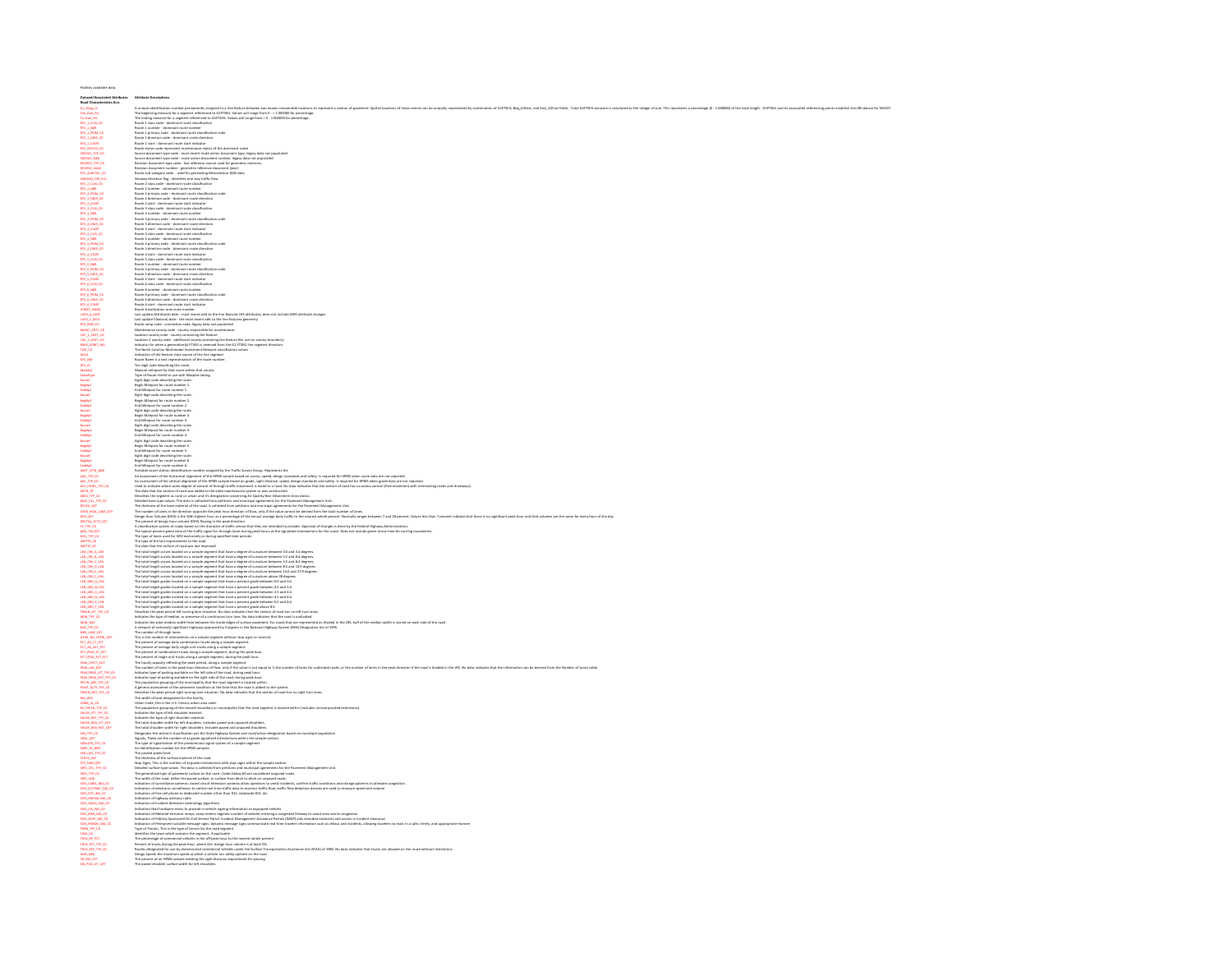| Date:<br>ant/Associated Attributes                                                                                                                                                                | <b>Attorney Descriptions</b>                                                                                                                                                                                                                                      |
|---------------------------------------------------------------------------------------------------------------------------------------------------------------------------------------------------|-------------------------------------------------------------------------------------------------------------------------------------------------------------------------------------------------------------------------------------------------------------------|
| Road Characteristics Arcs<br>G1_FtSeg_id<br>Fem_Evet_Ptt                                                                                                                                          | ^<br>^<br><br><                                                                                                                                                                                                                                                   |
|                                                                                                                                                                                                   |                                                                                                                                                                                                                                                                   |
|                                                                                                                                                                                                   |                                                                                                                                                                                                                                                                   |
|                                                                                                                                                                                                   |                                                                                                                                                                                                                                                                   |
|                                                                                                                                                                                                   |                                                                                                                                                                                                                                                                   |
|                                                                                                                                                                                                   |                                                                                                                                                                                                                                                                   |
|                                                                                                                                                                                                   |                                                                                                                                                                                                                                                                   |
|                                                                                                                                                                                                   |                                                                                                                                                                                                                                                                   |
|                                                                                                                                                                                                   |                                                                                                                                                                                                                                                                   |
|                                                                                                                                                                                                   |                                                                                                                                                                                                                                                                   |
|                                                                                                                                                                                                   | Route 2 class code - dominant route classification                                                                                                                                                                                                                |
|                                                                                                                                                                                                   | moure a uses come "unmisent route number"<br>Route 2 primary code - dominant route number<br>Route 2 primary code - dominant route classification code<br>Route 2 direction code - dominant route direction                                                       |
|                                                                                                                                                                                                   |                                                                                                                                                                                                                                                                   |
|                                                                                                                                                                                                   |                                                                                                                                                                                                                                                                   |
| RTE_2_START<br>RTE_3_CLSS_CD                                                                                                                                                                      | Route 2 start - dominant route start indicator<br>Route 3 class code - dominant route classification                                                                                                                                                              |
|                                                                                                                                                                                                   |                                                                                                                                                                                                                                                                   |
|                                                                                                                                                                                                   | Route 3 dans codé - dominant route dans<br>l'arte de mateix de constant route mateix de Route 3 parmare - dominant route mateix<br>Route 3 direction code - dominant route dansfitazion code<br>Route 3 direction code - dominant rout                            |
|                                                                                                                                                                                                   |                                                                                                                                                                                                                                                                   |
|                                                                                                                                                                                                   |                                                                                                                                                                                                                                                                   |
|                                                                                                                                                                                                   |                                                                                                                                                                                                                                                                   |
|                                                                                                                                                                                                   |                                                                                                                                                                                                                                                                   |
|                                                                                                                                                                                                   |                                                                                                                                                                                                                                                                   |
|                                                                                                                                                                                                   |                                                                                                                                                                                                                                                                   |
|                                                                                                                                                                                                   |                                                                                                                                                                                                                                                                   |
|                                                                                                                                                                                                   |                                                                                                                                                                                                                                                                   |
|                                                                                                                                                                                                   |                                                                                                                                                                                                                                                                   |
|                                                                                                                                                                                                   |                                                                                                                                                                                                                                                                   |
|                                                                                                                                                                                                   |                                                                                                                                                                                                                                                                   |
|                                                                                                                                                                                                   |                                                                                                                                                                                                                                                                   |
|                                                                                                                                                                                                   |                                                                                                                                                                                                                                                                   |
|                                                                                                                                                                                                   | Note 4 primary costs - distinction that the<br>distinction of the transition of the control of the control of the<br>state of the control of the control of the control of the<br>state of the control of the control of the control o                            |
|                                                                                                                                                                                                   |                                                                                                                                                                                                                                                                   |
|                                                                                                                                                                                                   |                                                                                                                                                                                                                                                                   |
|                                                                                                                                                                                                   |                                                                                                                                                                                                                                                                   |
| HOLD<br>RTL_NM<br>RTL_ID                                                                                                                                                                          | Indication of the feature class source of the line segment<br>Route Name is a test representation of the route number.                                                                                                                                            |
|                                                                                                                                                                                                   | Ten digit code describing the route.                                                                                                                                                                                                                              |
| MaxMp1<br>ShieldType                                                                                                                                                                              | Maxium milepost for that route within that county<br>Type of Route shield to use with Maxplex labing                                                                                                                                                              |
|                                                                                                                                                                                                   |                                                                                                                                                                                                                                                                   |
| Route1                                                                                                                                                                                            |                                                                                                                                                                                                                                                                   |
| EngMp1<br>EndMp1<br>Route2                                                                                                                                                                        |                                                                                                                                                                                                                                                                   |
|                                                                                                                                                                                                   |                                                                                                                                                                                                                                                                   |
|                                                                                                                                                                                                   |                                                                                                                                                                                                                                                                   |
|                                                                                                                                                                                                   |                                                                                                                                                                                                                                                                   |
|                                                                                                                                                                                                   |                                                                                                                                                                                                                                                                   |
|                                                                                                                                                                                                   |                                                                                                                                                                                                                                                                   |
|                                                                                                                                                                                                   |                                                                                                                                                                                                                                                                   |
| ingMg2<br>EndMg2<br>EndMg2<br>EndMg2<br>EndMg2<br>EndMg4<br>EndMg4<br>EndMg4<br>EndMg4                                                                                                            |                                                                                                                                                                                                                                                                   |
| EndMpS                                                                                                                                                                                            | Type of Rossie shots for use with Margaret Directions, and the state of the state of the state of the roots of the state of the state of the state of the state of the state of the state of the state of the state of the st<br>End Milepost for route number 5. |
| Routel                                                                                                                                                                                            | Eight digit code describing the route.<br>Begin Milepost for route number 6.<br>End Milepost for route number 6.                                                                                                                                                  |
| <b>SegMpG</b><br>EndMpG                                                                                                                                                                           |                                                                                                                                                                                                                                                                   |
|                                                                                                                                                                                                   |                                                                                                                                                                                                                                                                   |
| EMAN<br>MALTRO MALTRO<br>MALTRO MALTRO<br>MALTRO MALTRO<br>MALTRO MALTRO<br>MALTRO MALTRO<br>MALTRO MALTRO<br>MALTRO MALTRO<br>MALTRO<br>MALTRO<br>MALTRO<br>MALTRO<br>MALTRO<br>MALTRO<br>MALTRO | In Millippi is not make the main symptoms in the control of the main of the interest of the interest of the state of the state of the state of the state of the state of the state of the state of the state of the state of t                                    |
|                                                                                                                                                                                                   |                                                                                                                                                                                                                                                                   |
|                                                                                                                                                                                                   |                                                                                                                                                                                                                                                                   |
|                                                                                                                                                                                                   |                                                                                                                                                                                                                                                                   |
|                                                                                                                                                                                                   |                                                                                                                                                                                                                                                                   |
|                                                                                                                                                                                                   |                                                                                                                                                                                                                                                                   |
|                                                                                                                                                                                                   |                                                                                                                                                                                                                                                                   |
|                                                                                                                                                                                                   |                                                                                                                                                                                                                                                                   |
|                                                                                                                                                                                                   |                                                                                                                                                                                                                                                                   |
| HOV_TYP_CD<br>IMPTYP_CD<br>IMPTYP_DT                                                                                                                                                              | The type of lanes used for HDV exclusively or during specified time periods.<br>The type of lanes used for HDV exclusively or during specified time periods.<br>The type of the last improvement to the road                                                      |
|                                                                                                                                                                                                   |                                                                                                                                                                                                                                                                   |
|                                                                                                                                                                                                   |                                                                                                                                                                                                                                                                   |
|                                                                                                                                                                                                   |                                                                                                                                                                                                                                                                   |
|                                                                                                                                                                                                   |                                                                                                                                                                                                                                                                   |
|                                                                                                                                                                                                   |                                                                                                                                                                                                                                                                   |
|                                                                                                                                                                                                   |                                                                                                                                                                                                                                                                   |
|                                                                                                                                                                                                   |                                                                                                                                                                                                                                                                   |
|                                                                                                                                                                                                   |                                                                                                                                                                                                                                                                   |
|                                                                                                                                                                                                   |                                                                                                                                                                                                                                                                   |
|                                                                                                                                                                                                   |                                                                                                                                                                                                                                                                   |
|                                                                                                                                                                                                   |                                                                                                                                                                                                                                                                   |
|                                                                                                                                                                                                   |                                                                                                                                                                                                                                                                   |
|                                                                                                                                                                                                   |                                                                                                                                                                                                                                                                   |
|                                                                                                                                                                                                   |                                                                                                                                                                                                                                                                   |
|                                                                                                                                                                                                   |                                                                                                                                                                                                                                                                   |
|                                                                                                                                                                                                   |                                                                                                                                                                                                                                                                   |
|                                                                                                                                                                                                   |                                                                                                                                                                                                                                                                   |
|                                                                                                                                                                                                   |                                                                                                                                                                                                                                                                   |
|                                                                                                                                                                                                   |                                                                                                                                                                                                                                                                   |
|                                                                                                                                                                                                   |                                                                                                                                                                                                                                                                   |
|                                                                                                                                                                                                   |                                                                                                                                                                                                                                                                   |
|                                                                                                                                                                                                   | , where a most increase the state of the state of the state of the state of the state of the state of the state of the state of the state of the state of the state of the state of the state of the state of the state of th                                     |
|                                                                                                                                                                                                   |                                                                                                                                                                                                                                                                   |
|                                                                                                                                                                                                   |                                                                                                                                                                                                                                                                   |
|                                                                                                                                                                                                   |                                                                                                                                                                                                                                                                   |
|                                                                                                                                                                                                   |                                                                                                                                                                                                                                                                   |
|                                                                                                                                                                                                   |                                                                                                                                                                                                                                                                   |
|                                                                                                                                                                                                   |                                                                                                                                                                                                                                                                   |
|                                                                                                                                                                                                   |                                                                                                                                                                                                                                                                   |
|                                                                                                                                                                                                   |                                                                                                                                                                                                                                                                   |
|                                                                                                                                                                                                   | Using the first in the Max Center star which provides the real separate is leaded within product an increase the<br>The projection property the seconds hardway or manipular that discussions in the first of the second star an                                  |
|                                                                                                                                                                                                   |                                                                                                                                                                                                                                                                   |
|                                                                                                                                                                                                   |                                                                                                                                                                                                                                                                   |
|                                                                                                                                                                                                   |                                                                                                                                                                                                                                                                   |
|                                                                                                                                                                                                   |                                                                                                                                                                                                                                                                   |
|                                                                                                                                                                                                   |                                                                                                                                                                                                                                                                   |
|                                                                                                                                                                                                   |                                                                                                                                                                                                                                                                   |
|                                                                                                                                                                                                   |                                                                                                                                                                                                                                                                   |
|                                                                                                                                                                                                   |                                                                                                                                                                                                                                                                   |
|                                                                                                                                                                                                   |                                                                                                                                                                                                                                                                   |
|                                                                                                                                                                                                   |                                                                                                                                                                                                                                                                   |
|                                                                                                                                                                                                   |                                                                                                                                                                                                                                                                   |
| SO_PSG_PCT<br>SW_PVD_LFT_QTY                                                                                                                                                                      |                                                                                                                                                                                                                                                                   |
|                                                                                                                                                                                                   | the about the continuum to provide the state of the continuum of the state of the state of the continuum of the state of the state of the state of the state of the state of the state of the state of the state of the state                                     |
|                                                                                                                                                                                                   |                                                                                                                                                                                                                                                                   |

Publicly available data.